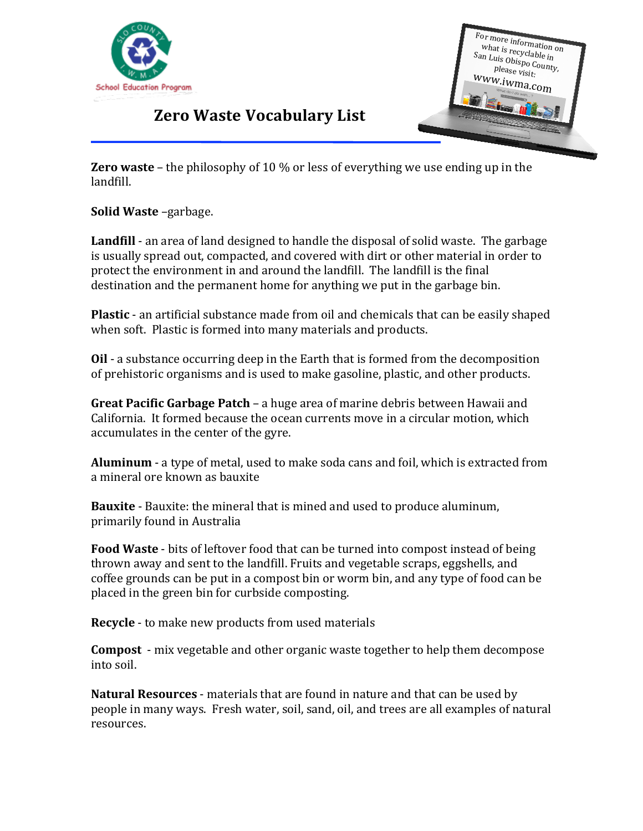



## **Zero Waste Vocabulary List**

**Zero waste** – the philosophy of 10 % or less of everything we use ending up in the landfill.

**Solid Waste** –garbage.

**Landfill** - an area of land designed to handle the disposal of solid waste. The garbage is usually spread out, compacted, and covered with dirt or other material in order to protect the environment in and around the landfill. The landfill is the final destination and the permanent home for anything we put in the garbage bin.

**Plastic** - an artificial substance made from oil and chemicals that can be easily shaped when soft. Plastic is formed into many materials and products.

**Oil** - a substance occurring deep in the Earth that is formed from the decomposition of prehistoric organisms and is used to make gasoline, plastic, and other products.

**Great Pacific Garbage Patch** – a huge area of marine debris between Hawaii and California. It formed because the ocean currents move in a circular motion, which accumulates in the center of the gyre.

**Aluminum** - a type of metal, used to make soda cans and foil, which is extracted from a mineral ore known as bauxite

**Bauxite** - Bauxite: the mineral that is mined and used to produce aluminum, primarily found in Australia

**Food Waste** - bits of leftover food that can be turned into compost instead of being thrown away and sent to the landfill. Fruits and vegetable scraps, eggshells, and coffee grounds can be put in a compost bin or worm bin, and any type of food can be placed in the green bin for curbside composting.

**Recycle** - to make new products from used materials

**Compost** - mix vegetable and other organic waste together to help them decompose into soil.

**Natural Resources** - materials that are found in nature and that can be used by people in many ways. Fresh water, soil, sand, oil, and trees are all examples of natural resources.